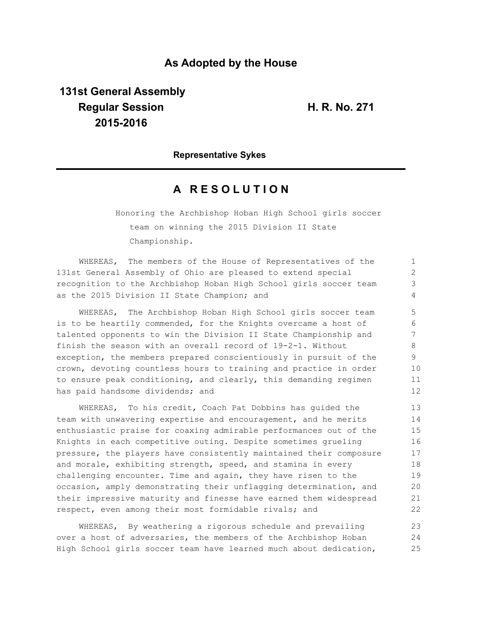## **As Adopted by the House**

**131st General Assembly Regular Session H. R. No. 271 2015-2016**

**Representative Sykes**

## **A R E S O L U T I O N**

Honoring the Archbishop Hoban High School girls soccer team on winning the 2015 Division II State Championship.

WHEREAS, The members of the House of Representatives of the 131st General Assembly of Ohio are pleased to extend special recognition to the Archbishop Hoban High School girls soccer team as the 2015 Division II State Champion; and

WHEREAS, The Archbishop Hoban High School girls soccer team is to be heartily commended, for the Knights overcame a host of talented opponents to win the Division II State Championship and finish the season with an overall record of 19-2-1. Without exception, the members prepared conscientiously in pursuit of the crown, devoting countless hours to training and practice in order to ensure peak conditioning, and clearly, this demanding regimen has paid handsome dividends; and

WHEREAS, To his credit, Coach Pat Dobbins has guided the team with unwavering expertise and encouragement, and he merits enthusiastic praise for coaxing admirable performances out of the Knights in each competitive outing. Despite sometimes grueling pressure, the players have consistently maintained their composure and morale, exhibiting strength, speed, and stamina in every challenging encounter. Time and again, they have risen to the occasion, amply demonstrating their unflagging determination, and their impressive maturity and finesse have earned them widespread respect, even among their most formidable rivals; and 13 14 15 16 17 18 19 20 21  $22$ 

WHEREAS, By weathering a rigorous schedule and prevailing over a host of adversaries, the members of the Archbishop Hoban High School girls soccer team have learned much about dedication, 23 24 25